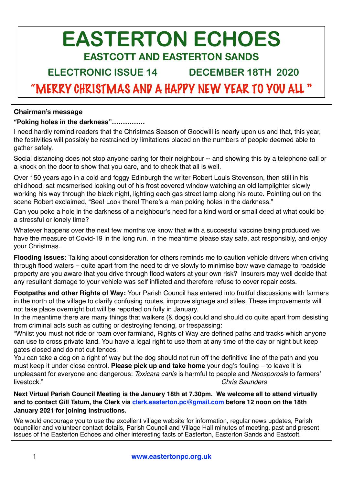# **EASTERTON ECHOES EASTCOTT AND EASTERTON SANDS**

**ELECTRONIC ISSUE 14 DECEMBER 18TH 2020** 

# "MERRY CHRISTMAS AND A HAPPY NEW YEAR TO YOU ALL "

#### **Chairman's message**

#### **"Poking holes in the darkness"……………**

I need hardly remind readers that the Christmas Season of Goodwill is nearly upon us and that, this year, the festivities will possibly be restrained by limitations placed on the numbers of people deemed able to gather safely.

Social distancing does not stop anyone caring for their neighbour -- and showing this by a telephone call or a knock on the door to show that you care, and to check that all is well.

Over 150 years ago in a cold and foggy Edinburgh the writer Robert Louis Stevenson, then still in his childhood, sat mesmerised looking out of his frost covered window watching an old lamplighter slowly working his way through the black night, lighting each gas street lamp along his route. Pointing out on the scene Robert exclaimed, "See! Look there! There's a man poking holes in the darkness."

Can you poke a hole in the darkness of a neighbour's need for a kind word or small deed at what could be a stressful or lonely time?

Whatever happens over the next few months we know that with a successful vaccine being produced we have the measure of Covid-19 in the long run. In the meantime please stay safe, act responsibly, and enjoy your Christmas.

 **Flooding issues:** Talking about consideration for others reminds me to caution vehicle drivers when driving through flood waters – quite apart from the need to drive slowly to minimise bow wave damage to roadside property are you aware that you drive through flood waters at your own risk? Insurers may well decide that any resultant damage to your vehicle was self inflicted and therefore refuse to cover repair costs.

**Footpaths and other Rights of Way:** Your Parish Council has entered into fruitful discussions with farmers in the north of the village to clarify confusing routes, improve signage and stiles. These improvements will not take place overnight but will be reported on fully in January.

In the meantime there are many things that walkers (& dogs) could and should do quite apart from desisting from criminal acts such as cutting or destroying fencing, or trespassing:

"Whilst you must not ride or roam over farmland, Rights of Way are defined paths and tracks which anyone can use to cross private land. You have a legal right to use them at any time of the day or night but keep gates closed and do not cut fences.

You can take a dog on a right of way but the dog should not run off the definitive line of the path and you must keep it under close control. **Please pick up and take home** your dog's fouling – to leave it is unpleasant for everyone and dangerous: *Toxicara canis* is harmful to people and *Neosporosis* to farmers' livestock." *Chris Saunders* 

**Next Virtual Parish Council Meeting is the January 18th at 7.30pm. We welcome all to attend virtually and to contact Gill Tatum, the Clerk via [clerk.easterton.pc@gmail.com](mailto:clerk.easterton.pc@gmail.com) before 12 noon on the 18th January 2021 for joining instructions.**

We would encourage you to use the excellent village website for information, regular news updates, Parish councillor and volunteer contact details, Parish Council and Village Hall minutes of meeting, past and present issues of the Easterton Echoes and other interesting facts of Easterton, Easterton Sands and Eastcott.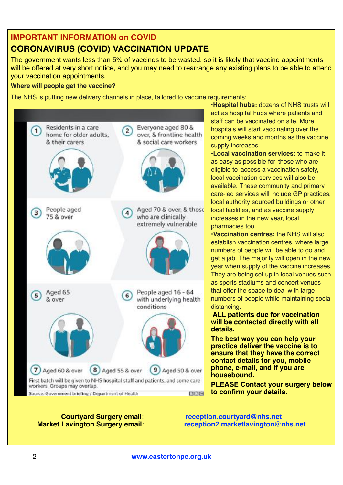# **IMPORTANT INFORMATION on COVID**

# **CORONAVIRUS (COVID) VACCINATION UPDATE**

The government wants less than 5% of vaccines to be wasted, so it is likely that vaccine appointments will be offered at very short notice, and you may need to rearrange any existing plans to be able to attend your vaccination appointments.

#### **Where will people get the vaccine?**

The NHS is putting new delivery channels in place, tailored to vaccine requirements:



**•Hospital hubs:** dozens of NHS trusts will act as hospital hubs where patients and staff can be vaccinated on site. More hospitals will start vaccinating over the coming weeks and months as the vaccine supply increases.

**•Local vaccination services:** to make it as easy as possible for those who are eligible to access a vaccination safely, local vaccination services will also be available. These community and primary care-led services will include GP practices, local authority sourced buildings or other local facilities, and as vaccine supply increases in the new year, local pharmacies too.

**•Vaccination centres:** the NHS will also establish vaccination centres, where large numbers of people will be able to go and get a jab. The majority will open in the new year when supply of the vaccine increases. They are being set up in local venues such as sports stadiums and concert venues that offer the space to deal with large numbers of people while maintaining social distancing.

 **ALL patients due for vaccination will be contacted directly with all details.** 

**The best way you can help your practice deliver the vaccine is to ensure that they have the correct contact details for you, mobile phone, e-mail, and if you are housebound.**

**PLEASE Contact your surgery below to confirm your details.**

**Courtyard Surgery email**: **[reception.courtyard@nhs.net](mailto:reception.courtyard@nhs.net)**

**Market Lavington Surgery email**: **[reception2.marketlavington@nhs.net](mailto:reception2.marketlavington@nhs.net)**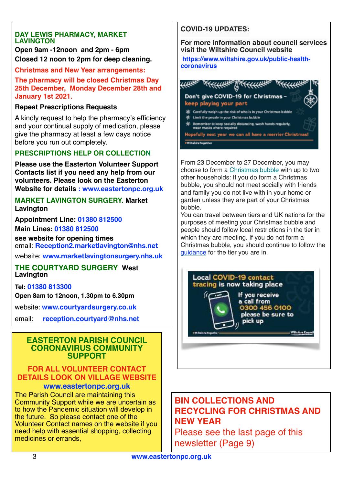#### **DAY LEWIS PHARMACY, MARKET LAVINGTON**

**Open 9am -12noon and 2pm - 6pm Closed 12 noon to 2pm for deep cleaning.**

#### **Christmas and New Year arrangements:**

**The pharmacy will be closed Christmas Day 25th December, Monday December 28th and January 1st 2021.** 

#### **Repeat Prescriptions Requests**

A kindly request to help the pharmacy's efficiency and your continual supply of medication, please give the pharmacy at least a few days notice before you run out completely.

#### **PRESCRIPTIONS HELP OR COLLECTION**

**Please use the Easterton Volunteer Support Contacts list if you need any help from our volunteers. Please look on the Easterton Website for details : [www.eastertonpc.org.uk](http://www.eastertonpc.org.uk)**

#### **MARKET LAVINGTON SURGERY. Market Lavington**

**Appointment Line: 01380 812500 Main Lines: 01380 812500**

**see website for opening times** email: **[Reception2.marketlavington@nhs.net](mailto:Reception2.marketlavington@nhs.net)**

website: **[www.marketlavingtonsurgery.nhs.uk](http://www.marketlavingtonsurgery.nhs.uk)**

#### **THE COURTYARD SURGERY West Lavington**

#### **Tel: 01380 813300**

**Open 8am to 12noon, 1.30pm to 6.30pm** 

website: **[www.courtyardsurgery.co.uk](http://www.courtyardsurgery.co.uk/)**

email: **[reception.courtyard@nhs.net](mailto:reception.courtyard@nhs.net)**

#### **EASTERTON PARISH COUNCIL CORONAVIRUS COMMUNITY SUPPORT**

#### **FOR ALL VOLUNTEER CONTACT DETAILS LOOK ON VILLAGE WEBSITE [www.eastertonpc.org.uk](http://www.eastertonpc.org.uk)**

The Parish Council are maintaining this Community Support while we are uncertain as to how the Pandemic situation will develop in the future. So please contact one of the Volunteer Contact names on the website if you need help with essential shopping, collecting medicines or errands,

### **COVID-19 UPDATES:**

**For more information about council services visit the Wiltshire Council website**

**[https://www.wiltshire.gov.uk/public-health](https://wiltshire.us5.list-manage.com/track/click?u=2883905f726c9fc694bef8b9e&id=07a322c0d9&e=9a71fb40b3)[coronavirus](https://wiltshire.us5.list-manage.com/track/click?u=2883905f726c9fc694bef8b9e&id=07a322c0d9&e=9a71fb40b3)**

| Don't give COVID-19 for Christmas -<br>keep playing your part                                               |
|-------------------------------------------------------------------------------------------------------------|
| Carefully weigh up the risk of who is in your Christmas bubble<br>Limit the people in your Christmas bubble |
| Remember to keep socially distancing, wash hands regularly,<br>wear masks where required                    |
| Hopefully next year we can all have a merrier Christmas!                                                    |

From 23 December to 27 December, you may choose to form a [Christmas bubble](https://wiltshire.us5.list-manage.com/track/click?u=2883905f726c9fc694bef8b9e&id=13cb0a229c&e=9a71fb40b3) with up to two other households: If you do form a Christmas bubble, you should not meet socially with friends and family you do not live with in your home or garden unless they are part of your Christmas bubble.

You can travel between tiers and UK nations for the purposes of meeting your Christmas bubble and people should follow local restrictions in the tier in which they are meeting. If you do not form a Christmas bubble, you should continue to follow the [guidance](https://wiltshire.us5.list-manage.com/track/click?u=2883905f726c9fc694bef8b9e&id=3b612a64ba&e=9a71fb40b3) for the tier you are in.



## **BIN COLLECTIONS AND RECYCLING FOR CHRISTMAS AND NEW YEAR**

Please see the last page of this newsletter (Page 9)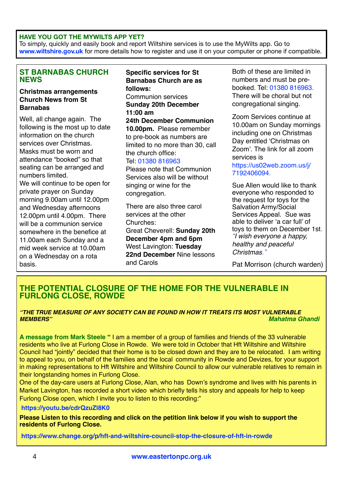#### **HAVE YOU GOT THE MYWILTS APP YET?**

To simply, quickly and easily book and report Wiltshire services is to use the MyWilts app. Go to **[www.wiltshire.gov.uk](http://www.wiltshire.gov.uk)** for more details how to register and use it on your computer or phone if compatible.

#### **ST BARNABAS CHURCH NEWS**

#### **Christmas arrangements Church News from St Barnabas**

Well, all change again. The following is the most up to date information on the church services over Christmas. Masks must be worn and attendance "booked" so that seating can be arranged and numbers limited.

We will continue to be open for private prayer on Sunday morning 9.00am until 12.00pm and Wednesday afternoons 12.00pm until 4.00pm. There will be a communion service somewhere in the benefice at 11.00am each Sunday and a mid week service at 10.00am on a Wednesday on a rota basis.

#### **Specific services for St Barnabas Church are as follows:**

Communion services **Sunday 20th December 11:00 am**

**24th December Communion 10.00pm.** Please remember to pre-book as numbers are limited to no more than 30, call the church office:

#### Tel: 01380 816963

Please note that Communion Services also will be without singing or wine for the congregation.

There are also three carol services at the other Churches:

Great Cheverell: **Sunday 20th December 4pm and 6pm** West Lavington: **Tuesday 22nd December** Nine lessons and Carols

Both of these are limited in numbers and must be prebooked. Tel: 01380 816963. There will be choral but not congregational singing.

Zoom Services continue at 10.00am on Sunday mornings including one on Christmas Day entitled 'Christmas on Zoom'. The link for all zoom services is

[https://us02web.zoom.us/j/](https://us02web.zoom.us/j/7192406094) [7192406094](https://us02web.zoom.us/j/7192406094).

Sue Allen would like to thank everyone who responded to the request for toys for the Salvation Army/Social Services Appeal. Sue was able to deliver 'a car full' of toys to them on December 1st. *"I wish everyone a happy, healthy and peaceful Christmas."*

Pat Morrison (church warden)

#### **THE POTENTIAL CLOSURE OF THE HOME FOR THE VULNERABLE IN FURLONG CLOSE, ROWDE**

#### *"THE TRUE MEASURE OF ANY SOCIETY CAN BE FOUND IN HOW IT TREATS ITS MOST VULNERABLE MEMBERS" Mahatma Ghandi*

**A message from Mark Steele "** I am a member of a group of families and friends of the 33 vulnerable residents who live at Furlong Close in Rowde. We were told in October that Hft Wiltshire and Wiltshire Council had "jointly" decided that their home is to be closed down and they are to be relocated. I am writing to appeal to you, on behalf of the families and the local community in Rowde and Devizes, for your support in making representations to Hft Wiltshire and Wiltshire Council to allow our vulnerable relatives to remain in their longstanding homes in Furlong Close.

One of the day-care users at Furlong Close, Alan, who has Down's syndrome and lives with his parents in Market Lavington, has recorded a short video which briefly tells his story and appeals for help to keep Furlong Close open, which I invite you to listen to this recording:"

#### **<https://youtu.be/cdrQzuZl8K0>**

**Please Listen to this recording and click on the petition link below if you wish to support the residents of Furlong Close.** 

**<https://www.change.org/p/hft-and-wiltshire-council-stop-the-closure-of-hft-in-rowde>**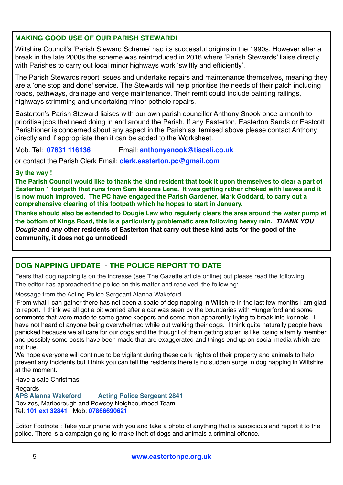#### **MAKING GOOD USE OF OUR PARISH STEWARD!**

Wiltshire Council's 'Parish Steward Scheme' had its successful origins in the 1990s. However after a break in the late 2000s the scheme was reintroduced in 2016 where 'Parish Stewards' liaise directly with Parishes to carry out local minor highways work 'swiftly and efficiently'.

The Parish Stewards report issues and undertake repairs and maintenance themselves, meaning they are a 'one stop and done' service. The Stewards will help prioritise the needs of their patch including roads, pathways, drainage and verge maintenance. Their remit could include painting railings, highways strimming and undertaking minor pothole repairs.

Easterton's Parish Steward liaises with our own parish councillor Anthony Snook once a month to prioritise jobs that need doing in and around the Parish. If any Easterton, Easterton Sands or Eastcott Parishioner is concerned about any aspect in the Parish as itemised above please contact Anthony directly and if appropriate then it can be added to the Worksheet.

Mob. Tel: **07831 116136** Email: **[anthonysnook@tiscali.co.uk](mailto:anthonysnook@tiscali.co.uk)**

or contact the Parish Clerk Email: **[clerk.easterton.pc@gmail.com](mailto:clerk.easterton.pc@gmail.com)**

#### **By the way !**

**The Parish Council would like to thank the kind resident that took it upon themselves to clear a part of Easterton 1 footpath that runs from Sam Moores Lane. It was getting rather choked with leaves and it is now much improved. The PC have engaged the Parish Gardener, Mark Goddard, to carry out a comprehensive clearing of this footpath which he hopes to start in January.** 

**Thanks should also be extended to Dougie Law who regularly clears the area around the water pump at the bottom of Kings Road, this is a particularly problematic area following heavy rain.** *THANK YOU Dougie* **and any other residents of Easterton that carry out these kind acts for the good of the community, it does not go unnoticed!**

#### **DOG NAPPING UPDATE** - **THE POLICE REPORT TO DATE**

Fears that dog napping is on the increase (see The Gazette article online) but please read the following: The editor has approached the police on this matter and received the following:

Message from the Acting Police Sergeant Alanna Wakeford

'From what I can gather there has not been a spate of dog napping in Wiltshire in the last few months I am glad to report. I think we all got a bit worried after a car was seen by the boundaries with Hungerford and some comments that were made to some game keepers and some men apparently trying to break into kennels. I have not heard of anyone being overwhelmed while out walking their dogs. I think quite naturally people have panicked because we all care for our dogs and the thought of them getting stolen is like losing a family member and possibly some posts have been made that are exaggerated and things end up on social media which are not true.

We hope everyone will continue to be vigilant during these dark nights of their property and animals to help prevent any incidents but I think you can tell the residents there is no sudden surge in dog napping in Wiltshire at the moment.

Have a safe Christmas.

Regards<br>APS Alanna Wakeford **Acting Police Sergeant 2841** Devizes, Marlborough and Pewsey Neighbourhood Team Tel: **101 ext 32841** Mob: **07866690621**

Editor Footnote : Take your phone with you and take a photo of anything that is suspicious and report it to the police. There is a campaign going to make theft of dogs and animals a criminal offence.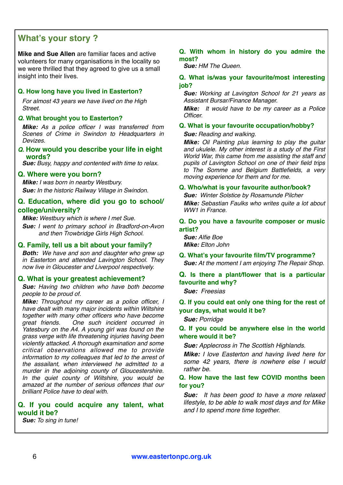### **What's your story ?**

**Mike and Sue Allen** are familiar faces and active volunteers for many organisations in the locality so we were thrilled that they agreed to give us a small insight into their lives.

#### **Q. How long have you lived in Easterton?**

*For almost 43 years we have lived on the High Street.*

#### *Q.* **What brought you to Easterton?**

*Mike: As a police officer I was transferred from Scenes of Crime in Swindon to Headquarters in Devizes.*

*Q.* **How would you describe your life in eight words?**

*Sue: Busy, happy and contented with time to relax.*

#### **Q. Where were you born?**

*Mike: I was born in nearby Westbury. Sue: In the historic Railway Village in Swindon.*

#### **Q. Education, where did you go to school/ college/university?**

*Mike: Westbury which is where I met Sue.*

*Sue: I went to primary school in Bradford-on-Avon and then Trowbridge Girls High School.*

#### **Q. Family, tell us a bit about your family?**

*Both: We have and son and daughter who grew up in Easterton and attended Lavington School. They now live in Gloucester and Liverpool respectively.*

#### **Q. What is your greatest achievement?**

*Sue: Having two children who have both become people to be proud of.*

*Mike: Throughout my career as a police officer, I have dealt with many major incidents within Wiltshire together with many other officers who have become great friends. One such incident occurred in Yatesbury on the A4. A young girl was found on the grass verge with life threatening injuries having been violently attacked. A thorough examination and some critical observations allowed me to provide information to my colleagues that led to the arrest of the assailant, when interviewed he admitted to a murder in the adjoining county of Gloucestershire. In the quiet county of Wiltshire, you would be amazed at the number of serious offences that our brilliant Police have to deal with.*

#### **Q. If you could acquire any talent, what would it be?**

*Sue: To sing in tune!*

#### **Q. With whom in history do you admire the most?**

*Sue: HM The Queen.*

#### **Q. What is/was your favourite/most interesting job?**

*Sue: Working at Lavington School for 21 years as Assistant Bursar/Finance Manager.*

*Mike: It would have to be my career as a Police Officer.*

#### **Q. What is your favourite occupation/hobby?**

*Sue: Reading and walking.*

*Mike: Oil Painting plus learning to play the guitar and ukulele. My other interest is a study of the First World War, this came from me assisting the staff and pupils of Lavington School on one of their field trips to The Somme and Belgium Battlefields, a very moving experience for them and for me.*

#### **Q. Who/what is your favourite author/book?**

*Sue: Winter Solstice by Rosamunde Pilcher Mike: Sebastian Faulks who writes quite a lot about WW1 in France.*

**Q. Do you have a favourite composer or music artist?**

*Sue: Alfie Boe Mike: Elton John*

**Q. What's your favourite film/TV programme?** *Sue: At the moment I am enjoying The Repair Shop.*

#### **Q. Is there a plant/flower that is a particular favourite and why?**

*Sue: Freesias*

**Q. If you could eat only one thing for the rest of your days, what would it be?**

#### *Sue: Porridge*

**Q. If you could be anywhere else in the world where would it be?**

*Sue: Applecross in The Scottish Highlands.*

*Mike: I love Easterton and having lived here for some 42 years, there is nowhere else I would rather be.*

#### **Q. How have the last few COVID months been for you?**

*Sue: It has been good to have a more relaxed lifestyle, to be able to walk most days and for Mike and I to spend more time together.*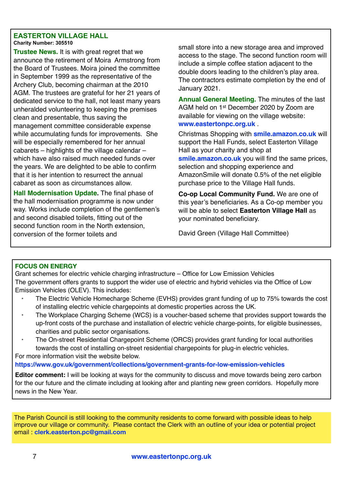#### **EASTERTON VILLAGE HALL Charity Number: 305510**

**Trustee News.** It is with great regret that we announce the retirement of Moira Armstrong from the Board of Trustees. Moira joined the committee in September 1999 as the representative of the Archery Club, becoming chairman at the 2010 AGM. The trustees are grateful for her 21 years of dedicated service to the hall, not least many years unheralded volunteering to keeping the premises clean and presentable, thus saving the management committee considerable expense while accumulating funds for improvements. She will be especially remembered for her annual cabarets – highlights of the village calendar – which have also raised much needed funds over the years. We are delighted to be able to confirm that it is her intention to resurrect the annual cabaret as soon as circumstances allow.

**Hall Modernisation Update.** The final phase of the hall modernisation programme is now under way. Works include completion of the gentlemen's and second disabled toilets, fitting out of the second function room in the North extension, conversion of the former toilets and

small store into a new storage area and improved access to the stage. The second function room will include a simple coffee station adjacent to the double doors leading to the children's play area. The contractors estimate completion by the end of January 2021.

**Annual General Meeting.** The minutes of the last AGM held on 1st December 2020 by Zoom are available for viewing on the village website: **[www.eastertonpc.org.uk](http://www.eastertonpc.org.uk)** .

Christmas Shopping with **[smile.amazon.co.uk](http://smile.amazon.co.uk)** will support the Hall Funds, select Easterton Village Hall as your charity and shop at **smile.amazon.co.uk** you will find the same prices, selection and shopping experience and AmazonSmile will donate 0.5% of the net eligible purchase price to the Village Hall funds.

**Co-op Local Community Fund.** We are one of this year's beneficiaries. As a Co-op member you will be able to select **Easterton Village Hall** as your nominated beneficiary.

David Green (Village Hall Committee)

#### **FOCUS ON ENERGY**

Grant schemes for electric vehicle charging infrastructure – Office for Low Emission Vehicles The government offers grants to support the wider use of electric and hybrid vehicles via the Office of Low Emission Vehicles (OLEV). This includes:

- The Electric Vehicle Homecharge Scheme (EVHS) provides grant funding of up to 75% towards the cost of installing electric vehicle chargepoints at domestic properties across the UK.
- The Workplace Charging Scheme (WCS) is a voucher-based scheme that provides support towards the up-front costs of the purchase and installation of electric vehicle charge-points, for eligible businesses, charities and public sector organisations.
- The On-street Residential Chargepoint Scheme (ORCS) provides grant funding for local authorities towards the cost of installing on-street residential chargepoints for plug-in electric vehicles. For more information visit the website below.

#### **<https://www.gov.uk/government/collections/government-grants-for-low-emission-vehicles>**

**Editor comment:** I will be looking at ways for the community to discuss and move towards being zero carbon for the our future and the climate including at looking after and planting new green corridors. Hopefully more news in the New Year.

The Parish Council is still looking to the community residents to come forward with possible ideas to help improve our village or community. Please contact the Clerk with an outline of your idea or potential project email : **[clerk.easterton.pc@gmail.com](mailto:clerk.easterton.pc@gmail.com)**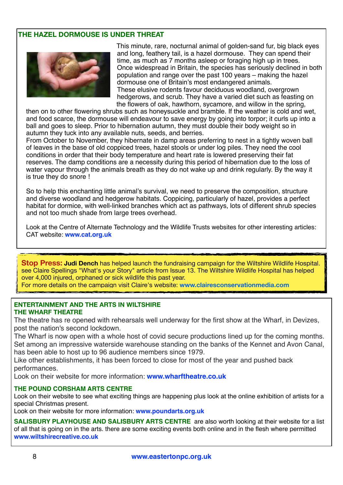#### **THE HAZEL DORMOUSE IS UNDER THREAT**



This minute, rare, nocturnal animal of golden-sand fur, big black eyes and long, feathery tail, is a hazel dormouse. They can spend their time, as much as 7 months asleep or foraging high up in trees. Once widespread in Britain, the species has seriously declined in both population and range over the past 100 years – making the hazel dormouse one of Britain's most endangered animals. These elusive rodents favour deciduous woodland, overgrown hedgerows, and scrub. They have a varied diet such as feasting on the flowers of oak, hawthorn, sycamore, and willow in the spring,

then on to other flowering shrubs such as honeysuckle and bramble. If the weather is cold and wet, and food scarce, the dormouse will endeavour to save energy by going into torpor; it curls up into a ball and goes to sleep. Prior to hibernation autumn, they must double their body weight so in autumn they tuck into any available nuts, seeds, and berries.

From October to November, they hibernate in damp areas preferring to nest in a tightly woven ball of leaves in the base of old coppiced trees, hazel stools or under log piles. They need the cool conditions in order that their body temperature and heart rate is lowered preserving their fat reserves. The damp conditions are a necessity during this period of hibernation due to the loss of water vapour through the animals breath as they do not wake up and drink regularly. By the way it is true they do snore !

So to help this enchanting little animal's survival, we need to preserve the composition, structure and diverse woodland and hedgerow habitats. Coppicing, particularly of hazel, provides a perfect habitat for dormice, with well-linked branches which act as pathways, lots of different shrub species and not too much shade from large trees overhead.

Look at the Centre of Alternate Technology and the Wildlife Trusts websites for other interesting articles: CAT website: **[www.cat.org.uk](http://www.cat.org.uk)**

**Stop Press: Judi Dench** has helped launch the fundraising campaign for the Wiltshire Wildlife Hospital. see Claire Spellings "What's your Story" article from Issue 13. The Wiltshire Wildlife Hospital has helped over 4,000 injured, orphaned or sick wildlife this past year. For more details on the campaign visit Claire's website: **[www.clairesconservationmedia.com](http://www.clairesconservationmedia.com/)**

#### **ENTERTAINMENT AND THE ARTS IN WILTSHIRE THE WHARF THEATRE**

The theatre has re opened with rehearsals well underway for the first show at the Wharf, in Devizes, post the nation's second lockdown.

The Wharf is now open with a whole host of covid secure productions lined up for the coming months. Set among an impressive waterside warehouse standing on the banks of the Kennet and Avon Canal, has been able to host up to 96 audience members since 1979.

Like other establishments, it has been forced to close for most of the year and pushed back performances.

Look on their website for more information: **[www.wharftheatre.co.uk](http://www.wharftheatre.co.uk)**

#### **THE POUND CORSHAM ARTS CENTRE**

Look on their website to see what exciting things are happening plus look at the online exhibition of artists for a special Christmas present.

Look on their website for more information: **[www.poundarts.org.uk](http://www.poundarts.org.uk)**

**SALISBURY PLAYHOUSE AND SALISBURY ARTS CENTRE** are also worth looking at their website for a list of all that is going on in the arts. there are some exciting events both online and in the flesh where permitted **www.wiltshirecreative.co.uk**